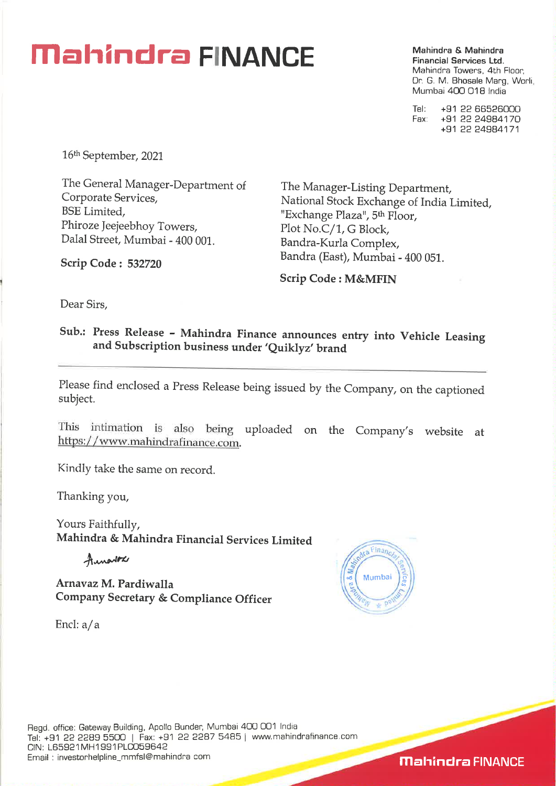## **Mahindra & Mahindra & Mahindra & Mahindra**

**Financial Services Ltd.**  Mahindra Towers, 4th Floor, Dr. G. M. Bhosale Marg, Worli, Mumbai 400 018 India

Tel: +91 22 66526000 Fax: +91 22 24984170 +91 22 24984171

16th September, 2021

**Scrip Code : 532720** 

The General Manager-Department of The Manager-Listing Department,<br>Corporate Services, National Stock Exchange of Indial Phiroze Jeejeebhoy Towers,<br>
Dalal Street, Mumbai - 400 001. Bandra-Kurla Comple

Corporate Services,<br>
BSE Limited.<br>
Exchange Place Place Place Exchange of India Limited, "Exchange Plaza", 5<sup>th</sup> Floor, Bandra-Kurla Complex, Bandra (East), Mumbai - 400 051.

**Scrip Code : M&MFIN** 

Dear Sirs,

**Sub.: Press Release - Mahindra Finance announces entry into Vehicle Leasing and Subscription business under 'Quiklyz' brand** 

Please find enclosed a Press Release being issued by the Company, on the captioned subject.

This intimation is also being uploaded on the Company's website at https: / / www.mahindrafinance.com.

Kindly take the same on record.

Thanking you,

Yours Faithfully, **Mahindra & Mahindra Financial Services Limited** 

Aunarios

**Arnavaz M. Pardiwalla** co **Company Secretary & Compliance Officer** 

Encl: a/a



**Mahindra FINANCE**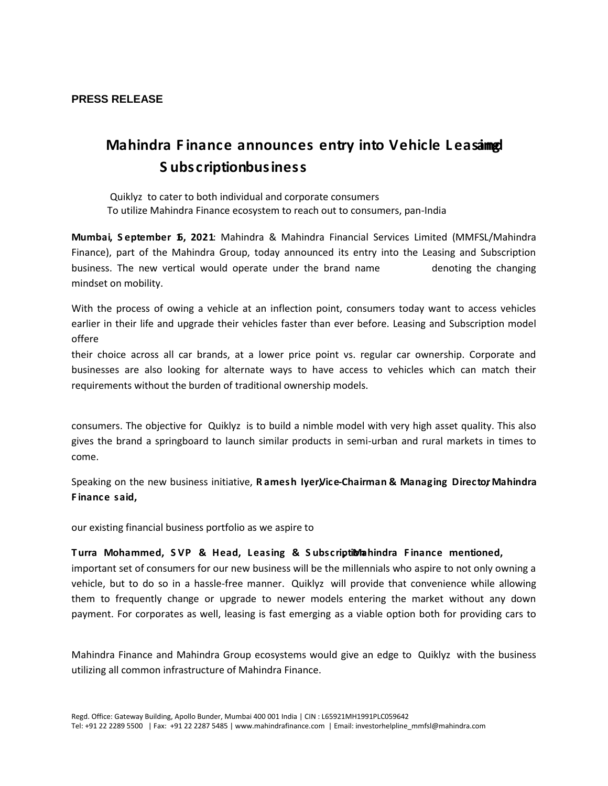## **PRESS RELEASE**

## Mahindra Finance announces entry into Vehicleabelasing Subscriptiobusinessuv Œ ZYulloCII Œ v

- x **Z**uiklyz [to cater to both individual and corporate consumers
- X To utilize Mahindra Finance ecosystem to reach out to consumers, pan-India

Mumbai September 61 2021 Mahindra & Mahindra Financial Services Limited (MMFSL/Mahindra Finance), part of the Mahindra Group, today announced its entry into the Leasing and Subscription business. The new vertical would operate under the brand name  $Z \uparrow \downarrow 1$  o  $\mathbb{Q}$  den by the changing mindset on mobility.

With the process of owing a vehicle at an inflection point, consumers today want to access vehicles earlier in their life and upgrade their vehicles faster than ever before. Leasing and Subscription model offere Ç ZYµ]loÇÌ[ ‰Œ}À] • Æ šoÇ šZ šV ÁZ Œ  $\}v \cdot \mu u$  OE ‰ C $\cdot$  $\mathsf{u}$ their choice across all car brands, at a lower price point vs. regular car ownership. Corporate and businesses are also looking for alternate ways to have access to vehicles which can match their requirements without the burden of traditional ownership models.

 $dZ$  $V$  U  $ZY\mu$ ]|o $C$ | $V$ | v}š • v •‰|Œ š]}v o u]v • š }( v•µŒ]vP Z •• $C$ consumers. The objective for Quiklyz [is to build a nimble model with very high asset quality. This also gives the brand a springboard to launch similar products in semi-urban and rural markets in times to come.

Speaking on the new business initiative, Ramesh IyeiViceChairman& Managing Direct&Ahindra Finance said, t]  $\zeta$   $\zeta$   $\zeta$   $\zeta$   $\zeta$   $\zeta$   $\zeta$   $\zeta$   $\zeta$   $\zeta$   $\zeta$   $\zeta$   $\zeta$   $\zeta$   $\zeta$   $\zeta$   $\zeta$   $\zeta$   $\zeta$   $\zeta$   $\zeta$   $\zeta$   $\zeta$   $\zeta$   $\zeta$   $\zeta$   $\zeta$   $\zeta$   $\zeta$   $\zeta$   $\zeta$   $\zeta$   $\zeta$   $\zeta$  }šΖ (}Œ ]ν ]À] μο ν }Œ‰}Œ š • Ρu νš• ο]ΙΧ / u }ν(] νš ΖΥμ]Ι our existing financial business portfolio as we aspire to  $\check{\mathbf{s}}$  % 00 u CEP ] v P } % % } OE  $\check{\mathbf{s}}$  µ v ]  $\check{\mathbf{s}}$  | v  $\check{\mathbf{s}}$ 

Turra Mohammed, SVP & Head, Leasing & Subschillationdra Finance mentioned,  $\overline{A}$  **OE C** important set of consumers for our new business will be the millennials who aspire to not only owning a vehicle, but to do so in a hassle-free manner. **Zuiklyz** [will provide that convenience while allowing them to frequently change or upgrade to newer models entering the market without any down payment. For corporates as well, leasing is fast emerging as a viable option both for providing cars to u‰o}Ç • v } š ]v]vP  $\lambda$  Z] o • (}Œ šZ ]Œ µ•]v •• µ• \_X šZ ]Œ

Mahindra Finance and Mahindra Group ecosystems would give an edge to Zuiklyz [with the business utilizing all common infrastructure of Mahindra Finance.